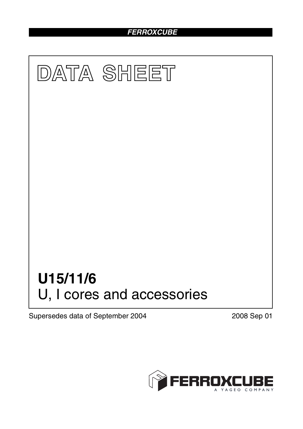## *FERROXCUBE*



Supersedes data of September 2004 2008 Sep 01

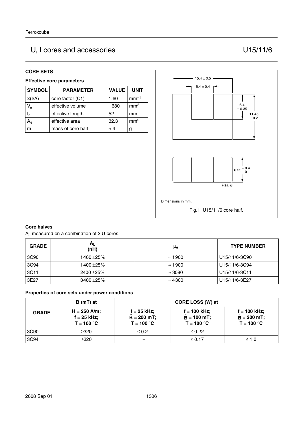# U, I cores and accessories U15/11/6

#### **CORE SETS**

#### **Effective core parameters**

| <b>SYMBOL</b>             | <b>PARAMETER</b>  | <b>VALUE</b> | <b>UNIT</b>     |
|---------------------------|-------------------|--------------|-----------------|
| $\Sigma(I/A)$             | core factor (C1)  | 1.60         | $mm-1$          |
| $V_{e}$                   | effective volume  | 1680         | mm <sup>3</sup> |
| $\mathsf{I}_{\mathsf{e}}$ | effective length  | 52           | mm              |
| Ae                        | effective area    | 32.3         | mm <sup>2</sup> |
|                           | mass of core half | $\approx 4$  | g               |



#### **Core halves**

AL measured on a combination of 2 U cores.

| <b>GRADE</b> | $A_{L}$<br>(nH) | μe             | <b>TYPE NUMBER</b> |
|--------------|-----------------|----------------|--------------------|
| 3C90         | 1400 ± 25%      | $\approx$ 1900 | U15/11/6-3C90      |
| 3C94         | 1400 ± 25%      | $\approx$ 1900 | U15/11/6-3C94      |
| 3C11         | $2400 + 25%$    | $\approx$ 3080 | U15/11/6-3C11      |
| 3E27         | $3400 + 25%$    | $\approx 4300$ | U15/11/6-3E27      |

#### **Properties of core sets under power conditions**

| <b>GRADE</b> | $B(mT)$ at                                    |                                                 | CORE LOSS (W) at                                 |                                                 |
|--------------|-----------------------------------------------|-------------------------------------------------|--------------------------------------------------|-------------------------------------------------|
|              | $H = 250$ A/m;<br>f = 25 kHz;<br>$T = 100 °C$ | $f = 25$ kHz;<br>$B = 200 mT$ ;<br>$T = 100 °C$ | $f = 100$ kHz;<br>$B = 100 mT$ ;<br>$T = 100 °C$ | $f = 100$ kHz;<br>$B = 200$ mT;<br>$T = 100 °C$ |
| 3C90         | ≥320                                          | $\leq 0.2$                                      | $\leq 0.22$                                      |                                                 |
| 3C94         | ≥320                                          |                                                 | ≤ 0.17                                           | $\leq 1.0$                                      |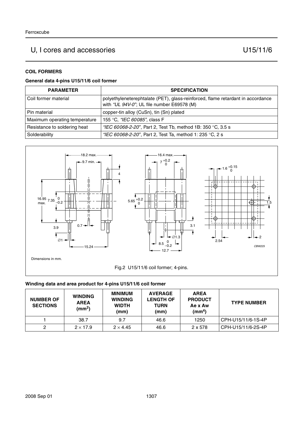## U, I cores and accessories U15/11/6

#### **COIL FORMERS**

#### **General data 4-pins U15/11/6 coil former**

| <b>PARAMETER</b>              | <b>SPECIFICATION</b>                                                                                                          |
|-------------------------------|-------------------------------------------------------------------------------------------------------------------------------|
| Coil former material          | polyethyleneterephtalate (PET), glass-reinforced, flame retardant in accordance<br>with "UL 94V-0"; UL file number E69578 (M) |
| Pin material                  | copper-tin alloy (CuSn), tin (Sn) plated                                                                                      |
| Maximum operating temperature | 155 °C, "IEC 60085", class F                                                                                                  |
| Resistance to soldering heat  | "IEC 60068-2-20", Part 2, Test Tb, method 1B: 350 °C, 3.5 s                                                                   |
| Solderability                 | "IEC 60068-2-20", Part 2, Test Ta, method 1: 235 °C, 2 s                                                                      |



#### **Winding data and area product for 4-pins U15/11/6 coil former**

| <b>NUMBER OF</b><br><b>SECTIONS</b> | <b>WINDING</b><br><b>AREA</b><br>(mm <sup>2</sup> ) | <b>MINIMUM</b><br><b>WINDING</b><br><b>WIDTH</b><br>(mm) | <b>AVERAGE</b><br><b>LENGTH OF</b><br>TURN<br>(mm) | <b>AREA</b><br><b>PRODUCT</b><br>Ae x Aw<br>(mm <sup>4</sup> ) | <b>TYPE NUMBER</b> |
|-------------------------------------|-----------------------------------------------------|----------------------------------------------------------|----------------------------------------------------|----------------------------------------------------------------|--------------------|
|                                     | 38.7                                                | 9.7                                                      | 46.6                                               | 1250                                                           | CPH-U15/11/6-1S-4P |
|                                     | $2 \times 17.9$                                     | $2 \times 4.45$                                          | 46.6                                               | 2 x 578                                                        | CPH-U15/11/6-2S-4P |